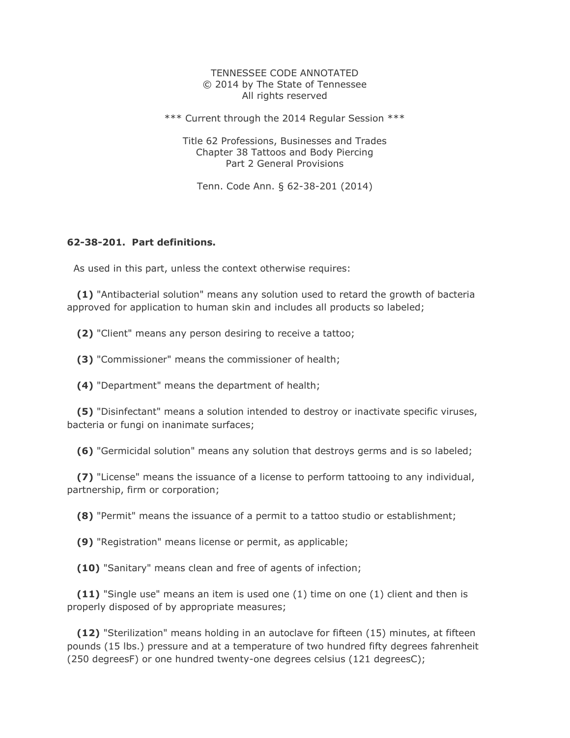#### TENNESSEE CODE ANNOTATED © 2014 by The State of Tennessee All rights reserved

\*\*\* Current through the 2014 Regular Session \*\*\*

Title 62 Professions, Businesses and Trades Chapter 38 Tattoos and Body Piercing Part 2 General Provisions

Tenn. Code Ann. § 62-38-201 (2014)

#### **62-38-201. Part definitions.**

As used in this part, unless the context otherwise requires:

 **(1)** "Antibacterial solution" means any solution used to retard the growth of bacteria approved for application to human skin and includes all products so labeled;

**(2)** "Client" means any person desiring to receive a tattoo;

**(3)** "Commissioner" means the commissioner of health;

**(4)** "Department" means the department of health;

 **(5)** "Disinfectant" means a solution intended to destroy or inactivate specific viruses, bacteria or fungi on inanimate surfaces;

**(6)** "Germicidal solution" means any solution that destroys germs and is so labeled;

 **(7)** "License" means the issuance of a license to perform tattooing to any individual, partnership, firm or corporation;

**(8)** "Permit" means the issuance of a permit to a tattoo studio or establishment;

**(9)** "Registration" means license or permit, as applicable;

**(10)** "Sanitary" means clean and free of agents of infection;

 **(11)** "Single use" means an item is used one (1) time on one (1) client and then is properly disposed of by appropriate measures;

 **(12)** "Sterilization" means holding in an autoclave for fifteen (15) minutes, at fifteen pounds (15 lbs.) pressure and at a temperature of two hundred fifty degrees fahrenheit (250 degreesF) or one hundred twenty-one degrees celsius (121 degreesC);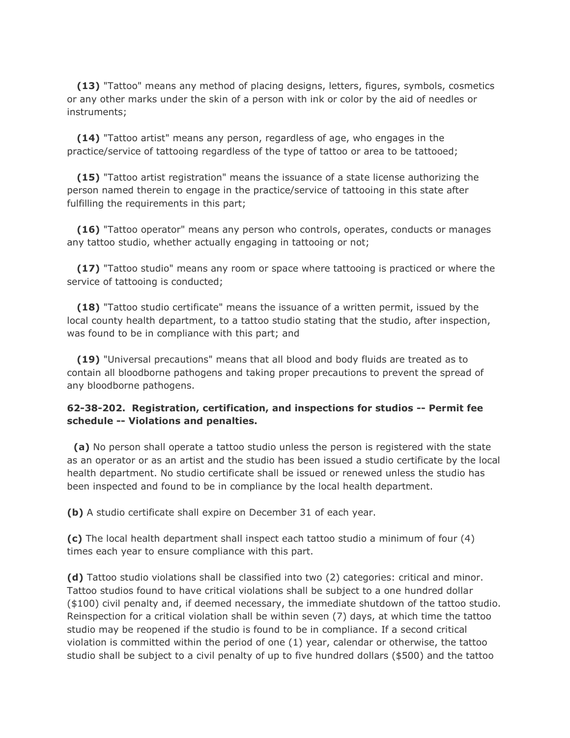**(13)** "Tattoo" means any method of placing designs, letters, figures, symbols, cosmetics or any other marks under the skin of a person with ink or color by the aid of needles or instruments;

 **(14)** "Tattoo artist" means any person, regardless of age, who engages in the practice/service of tattooing regardless of the type of tattoo or area to be tattooed;

 **(15)** "Tattoo artist registration" means the issuance of a state license authorizing the person named therein to engage in the practice/service of tattooing in this state after fulfilling the requirements in this part;

 **(16)** "Tattoo operator" means any person who controls, operates, conducts or manages any tattoo studio, whether actually engaging in tattooing or not;

 **(17)** "Tattoo studio" means any room or space where tattooing is practiced or where the service of tattooing is conducted;

 **(18)** "Tattoo studio certificate" means the issuance of a written permit, issued by the local county health department, to a tattoo studio stating that the studio, after inspection, was found to be in compliance with this part; and

 **(19)** "Universal precautions" means that all blood and body fluids are treated as to contain all bloodborne pathogens and taking proper precautions to prevent the spread of any bloodborne pathogens.

#### **62-38-202. Registration, certification, and inspections for studios -- Permit fee schedule -- Violations and penalties.**

 **(a)** No person shall operate a tattoo studio unless the person is registered with the state as an operator or as an artist and the studio has been issued a studio certificate by the local health department. No studio certificate shall be issued or renewed unless the studio has been inspected and found to be in compliance by the local health department.

**(b)** A studio certificate shall expire on December 31 of each year.

**(c)** The local health department shall inspect each tattoo studio a minimum of four (4) times each year to ensure compliance with this part.

**(d)** Tattoo studio violations shall be classified into two (2) categories: critical and minor. Tattoo studios found to have critical violations shall be subject to a one hundred dollar (\$100) civil penalty and, if deemed necessary, the immediate shutdown of the tattoo studio. Reinspection for a critical violation shall be within seven (7) days, at which time the tattoo studio may be reopened if the studio is found to be in compliance. If a second critical violation is committed within the period of one (1) year, calendar or otherwise, the tattoo studio shall be subject to a civil penalty of up to five hundred dollars (\$500) and the tattoo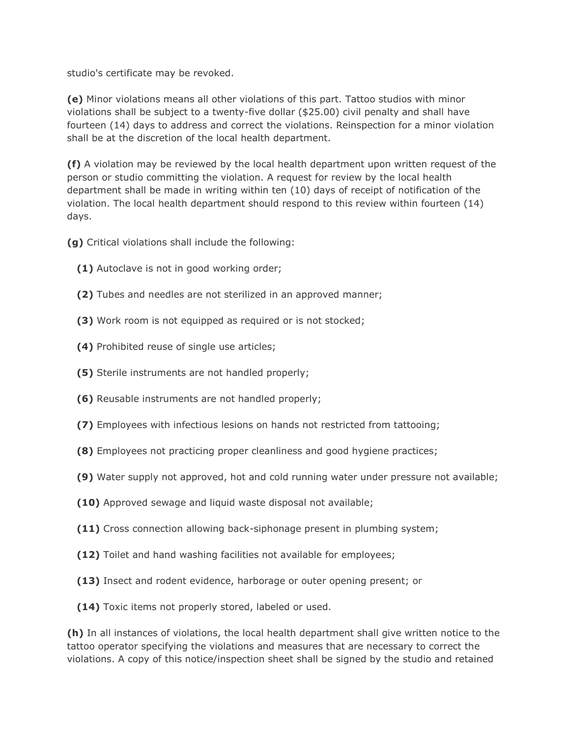studio's certificate may be revoked.

**(e)** Minor violations means all other violations of this part. Tattoo studios with minor violations shall be subject to a twenty-five dollar (\$25.00) civil penalty and shall have fourteen (14) days to address and correct the violations. Reinspection for a minor violation shall be at the discretion of the local health department.

**(f)** A violation may be reviewed by the local health department upon written request of the person or studio committing the violation. A request for review by the local health department shall be made in writing within ten (10) days of receipt of notification of the violation. The local health department should respond to this review within fourteen (14) days.

**(g)** Critical violations shall include the following:

- **(1)** Autoclave is not in good working order;
- **(2)** Tubes and needles are not sterilized in an approved manner;
- **(3)** Work room is not equipped as required or is not stocked;
- **(4)** Prohibited reuse of single use articles;
- **(5)** Sterile instruments are not handled properly;
- **(6)** Reusable instruments are not handled properly;
- **(7)** Employees with infectious lesions on hands not restricted from tattooing;
- **(8)** Employees not practicing proper cleanliness and good hygiene practices;
- **(9)** Water supply not approved, hot and cold running water under pressure not available;
- **(10)** Approved sewage and liquid waste disposal not available;
- **(11)** Cross connection allowing back-siphonage present in plumbing system;
- **(12)** Toilet and hand washing facilities not available for employees;
- **(13)** Insect and rodent evidence, harborage or outer opening present; or
- **(14)** Toxic items not properly stored, labeled or used.

**(h)** In all instances of violations, the local health department shall give written notice to the tattoo operator specifying the violations and measures that are necessary to correct the violations. A copy of this notice/inspection sheet shall be signed by the studio and retained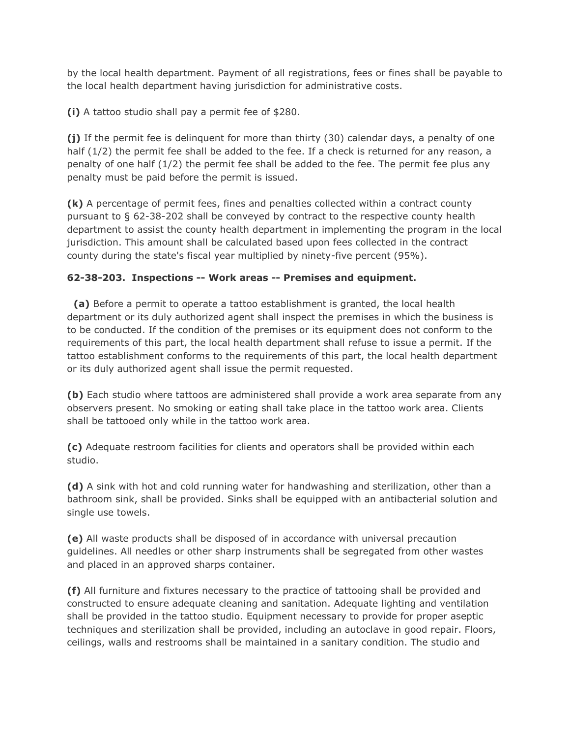by the local health department. Payment of all registrations, fees or fines shall be payable to the local health department having jurisdiction for administrative costs.

**(i)** A tattoo studio shall pay a permit fee of \$280.

**(j)** If the permit fee is delinquent for more than thirty (30) calendar days, a penalty of one half (1/2) the permit fee shall be added to the fee. If a check is returned for any reason, a penalty of one half (1/2) the permit fee shall be added to the fee. The permit fee plus any penalty must be paid before the permit is issued.

**(k)** A percentage of permit fees, fines and penalties collected within a contract county pursuant to § 62-38-202 shall be conveyed by contract to the respective county health department to assist the county health department in implementing the program in the local jurisdiction. This amount shall be calculated based upon fees collected in the contract county during the state's fiscal year multiplied by ninety-five percent (95%).

### **62-38-203. Inspections -- Work areas -- Premises and equipment.**

 **(a)** Before a permit to operate a tattoo establishment is granted, the local health department or its duly authorized agent shall inspect the premises in which the business is to be conducted. If the condition of the premises or its equipment does not conform to the requirements of this part, the local health department shall refuse to issue a permit. If the tattoo establishment conforms to the requirements of this part, the local health department or its duly authorized agent shall issue the permit requested.

**(b)** Each studio where tattoos are administered shall provide a work area separate from any observers present. No smoking or eating shall take place in the tattoo work area. Clients shall be tattooed only while in the tattoo work area.

**(c)** Adequate restroom facilities for clients and operators shall be provided within each studio.

**(d)** A sink with hot and cold running water for handwashing and sterilization, other than a bathroom sink, shall be provided. Sinks shall be equipped with an antibacterial solution and single use towels.

**(e)** All waste products shall be disposed of in accordance with universal precaution guidelines. All needles or other sharp instruments shall be segregated from other wastes and placed in an approved sharps container.

**(f)** All furniture and fixtures necessary to the practice of tattooing shall be provided and constructed to ensure adequate cleaning and sanitation. Adequate lighting and ventilation shall be provided in the tattoo studio. Equipment necessary to provide for proper aseptic techniques and sterilization shall be provided, including an autoclave in good repair. Floors, ceilings, walls and restrooms shall be maintained in a sanitary condition. The studio and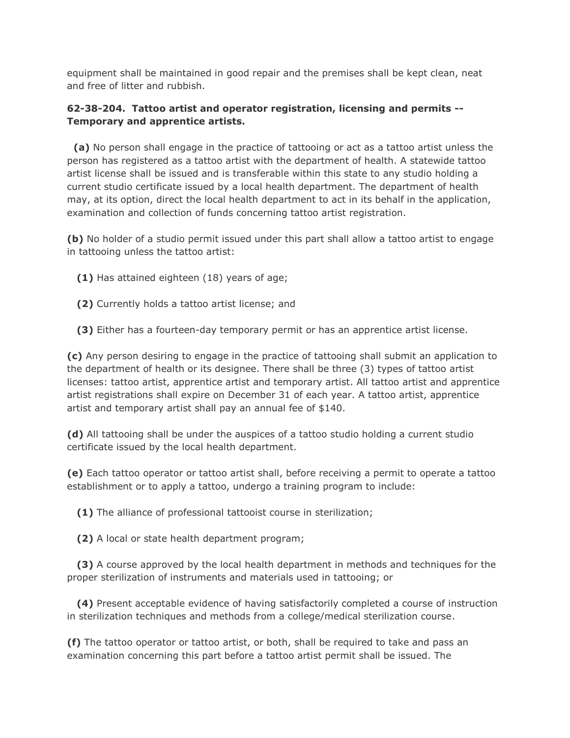equipment shall be maintained in good repair and the premises shall be kept clean, neat and free of litter and rubbish.

# **62-38-204. Tattoo artist and operator registration, licensing and permits -- Temporary and apprentice artists.**

 **(a)** No person shall engage in the practice of tattooing or act as a tattoo artist unless the person has registered as a tattoo artist with the department of health. A statewide tattoo artist license shall be issued and is transferable within this state to any studio holding a current studio certificate issued by a local health department. The department of health may, at its option, direct the local health department to act in its behalf in the application, examination and collection of funds concerning tattoo artist registration.

**(b)** No holder of a studio permit issued under this part shall allow a tattoo artist to engage in tattooing unless the tattoo artist:

- **(1)** Has attained eighteen (18) years of age;
- **(2)** Currently holds a tattoo artist license; and
- **(3)** Either has a fourteen-day temporary permit or has an apprentice artist license.

**(c)** Any person desiring to engage in the practice of tattooing shall submit an application to the department of health or its designee. There shall be three (3) types of tattoo artist licenses: tattoo artist, apprentice artist and temporary artist. All tattoo artist and apprentice artist registrations shall expire on December 31 of each year. A tattoo artist, apprentice artist and temporary artist shall pay an annual fee of \$140.

**(d)** All tattooing shall be under the auspices of a tattoo studio holding a current studio certificate issued by the local health department.

**(e)** Each tattoo operator or tattoo artist shall, before receiving a permit to operate a tattoo establishment or to apply a tattoo, undergo a training program to include:

**(1)** The alliance of professional tattooist course in sterilization;

**(2)** A local or state health department program;

 **(3)** A course approved by the local health department in methods and techniques for the proper sterilization of instruments and materials used in tattooing; or

 **(4)** Present acceptable evidence of having satisfactorily completed a course of instruction in sterilization techniques and methods from a college/medical sterilization course.

**(f)** The tattoo operator or tattoo artist, or both, shall be required to take and pass an examination concerning this part before a tattoo artist permit shall be issued. The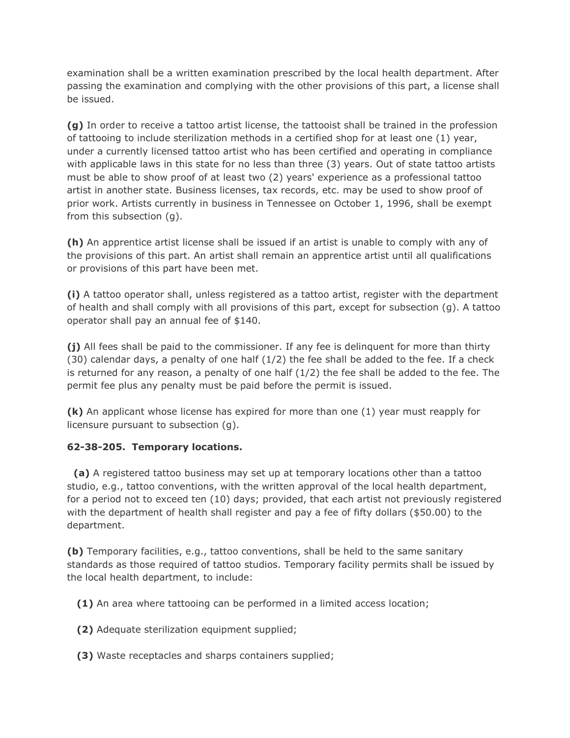examination shall be a written examination prescribed by the local health department. After passing the examination and complying with the other provisions of this part, a license shall be issued.

**(g)** In order to receive a tattoo artist license, the tattooist shall be trained in the profession of tattooing to include sterilization methods in a certified shop for at least one (1) year, under a currently licensed tattoo artist who has been certified and operating in compliance with applicable laws in this state for no less than three (3) years. Out of state tattoo artists must be able to show proof of at least two (2) years' experience as a professional tattoo artist in another state. Business licenses, tax records, etc. may be used to show proof of prior work. Artists currently in business in Tennessee on October 1, 1996, shall be exempt from this subsection (g).

**(h)** An apprentice artist license shall be issued if an artist is unable to comply with any of the provisions of this part. An artist shall remain an apprentice artist until all qualifications or provisions of this part have been met.

**(i)** A tattoo operator shall, unless registered as a tattoo artist, register with the department of health and shall comply with all provisions of this part, except for subsection (g). A tattoo operator shall pay an annual fee of \$140.

**(j)** All fees shall be paid to the commissioner. If any fee is delinquent for more than thirty  $(30)$  calendar days, a penalty of one half  $(1/2)$  the fee shall be added to the fee. If a check is returned for any reason, a penalty of one half  $(1/2)$  the fee shall be added to the fee. The permit fee plus any penalty must be paid before the permit is issued.

**(k)** An applicant whose license has expired for more than one (1) year must reapply for licensure pursuant to subsection (g).

# **62-38-205. Temporary locations.**

 **(a)** A registered tattoo business may set up at temporary locations other than a tattoo studio, e.g., tattoo conventions, with the written approval of the local health department, for a period not to exceed ten (10) days; provided, that each artist not previously registered with the department of health shall register and pay a fee of fifty dollars (\$50.00) to the department.

**(b)** Temporary facilities, e.g., tattoo conventions, shall be held to the same sanitary standards as those required of tattoo studios. Temporary facility permits shall be issued by the local health department, to include:

**(1)** An area where tattooing can be performed in a limited access location;

- **(2)** Adequate sterilization equipment supplied;
- **(3)** Waste receptacles and sharps containers supplied;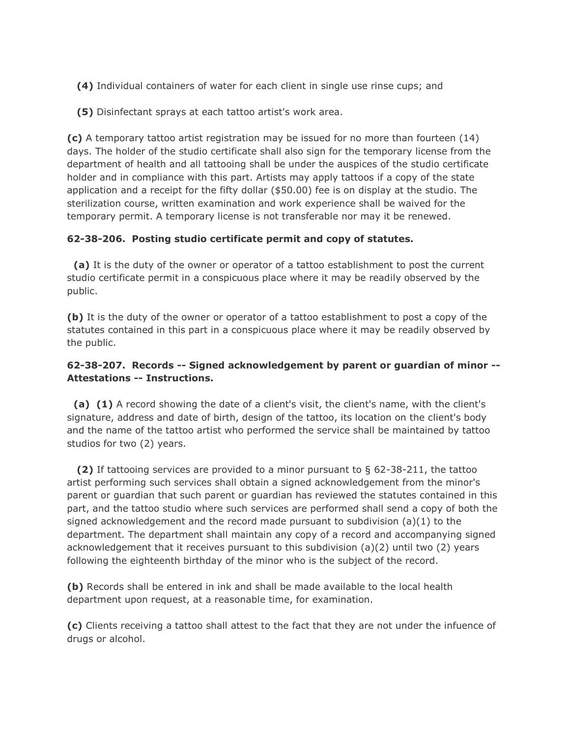- **(4)** Individual containers of water for each client in single use rinse cups; and
- **(5)** Disinfectant sprays at each tattoo artist's work area.

**(c)** A temporary tattoo artist registration may be issued for no more than fourteen (14) days. The holder of the studio certificate shall also sign for the temporary license from the department of health and all tattooing shall be under the auspices of the studio certificate holder and in compliance with this part. Artists may apply tattoos if a copy of the state application and a receipt for the fifty dollar (\$50.00) fee is on display at the studio. The sterilization course, written examination and work experience shall be waived for the temporary permit. A temporary license is not transferable nor may it be renewed.

### **62-38-206. Posting studio certificate permit and copy of statutes.**

 **(a)** It is the duty of the owner or operator of a tattoo establishment to post the current studio certificate permit in a conspicuous place where it may be readily observed by the public.

**(b)** It is the duty of the owner or operator of a tattoo establishment to post a copy of the statutes contained in this part in a conspicuous place where it may be readily observed by the public.

### **62-38-207. Records -- Signed acknowledgement by parent or guardian of minor -- Attestations -- Instructions.**

 **(a) (1)** A record showing the date of a client's visit, the client's name, with the client's signature, address and date of birth, design of the tattoo, its location on the client's body and the name of the tattoo artist who performed the service shall be maintained by tattoo studios for two (2) years.

 **(2)** If tattooing services are provided to a minor pursuant to § 62-38-211, the tattoo artist performing such services shall obtain a signed acknowledgement from the minor's parent or guardian that such parent or guardian has reviewed the statutes contained in this part, and the tattoo studio where such services are performed shall send a copy of both the signed acknowledgement and the record made pursuant to subdivision (a)(1) to the department. The department shall maintain any copy of a record and accompanying signed acknowledgement that it receives pursuant to this subdivision (a)(2) until two (2) years following the eighteenth birthday of the minor who is the subject of the record.

**(b)** Records shall be entered in ink and shall be made available to the local health department upon request, at a reasonable time, for examination.

**(c)** Clients receiving a tattoo shall attest to the fact that they are not under the infuence of drugs or alcohol.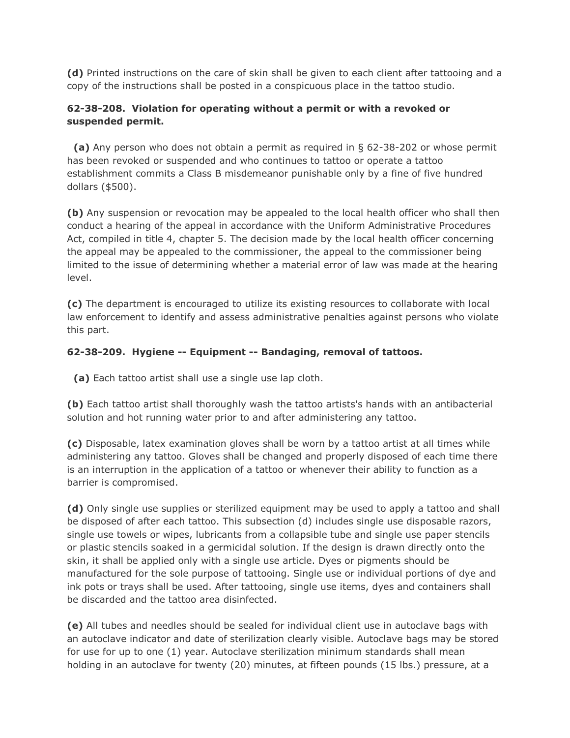**(d)** Printed instructions on the care of skin shall be given to each client after tattooing and a copy of the instructions shall be posted in a conspicuous place in the tattoo studio.

# **62-38-208. Violation for operating without a permit or with a revoked or suspended permit.**

 **(a)** Any person who does not obtain a permit as required in § 62-38-202 or whose permit has been revoked or suspended and who continues to tattoo or operate a tattoo establishment commits a Class B misdemeanor punishable only by a fine of five hundred dollars (\$500).

**(b)** Any suspension or revocation may be appealed to the local health officer who shall then conduct a hearing of the appeal in accordance with the Uniform Administrative Procedures Act, compiled in title 4, chapter 5. The decision made by the local health officer concerning the appeal may be appealed to the commissioner, the appeal to the commissioner being limited to the issue of determining whether a material error of law was made at the hearing level.

**(c)** The department is encouraged to utilize its existing resources to collaborate with local law enforcement to identify and assess administrative penalties against persons who violate this part.

# **62-38-209. Hygiene -- Equipment -- Bandaging, removal of tattoos.**

**(a)** Each tattoo artist shall use a single use lap cloth.

**(b)** Each tattoo artist shall thoroughly wash the tattoo artists's hands with an antibacterial solution and hot running water prior to and after administering any tattoo.

**(c)** Disposable, latex examination gloves shall be worn by a tattoo artist at all times while administering any tattoo. Gloves shall be changed and properly disposed of each time there is an interruption in the application of a tattoo or whenever their ability to function as a barrier is compromised.

**(d)** Only single use supplies or sterilized equipment may be used to apply a tattoo and shall be disposed of after each tattoo. This subsection (d) includes single use disposable razors, single use towels or wipes, lubricants from a collapsible tube and single use paper stencils or plastic stencils soaked in a germicidal solution. If the design is drawn directly onto the skin, it shall be applied only with a single use article. Dyes or pigments should be manufactured for the sole purpose of tattooing. Single use or individual portions of dye and ink pots or trays shall be used. After tattooing, single use items, dyes and containers shall be discarded and the tattoo area disinfected.

**(e)** All tubes and needles should be sealed for individual client use in autoclave bags with an autoclave indicator and date of sterilization clearly visible. Autoclave bags may be stored for use for up to one (1) year. Autoclave sterilization minimum standards shall mean holding in an autoclave for twenty (20) minutes, at fifteen pounds (15 lbs.) pressure, at a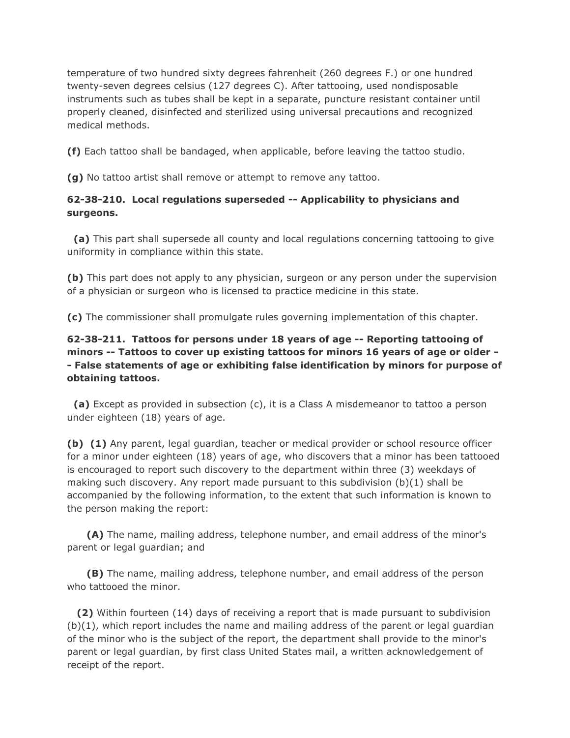temperature of two hundred sixty degrees fahrenheit (260 degrees F.) or one hundred twenty-seven degrees celsius (127 degrees C). After tattooing, used nondisposable instruments such as tubes shall be kept in a separate, puncture resistant container until properly cleaned, disinfected and sterilized using universal precautions and recognized medical methods.

**(f)** Each tattoo shall be bandaged, when applicable, before leaving the tattoo studio.

**(g)** No tattoo artist shall remove or attempt to remove any tattoo.

#### **62-38-210. Local regulations superseded -- Applicability to physicians and surgeons.**

 **(a)** This part shall supersede all county and local regulations concerning tattooing to give uniformity in compliance within this state.

**(b)** This part does not apply to any physician, surgeon or any person under the supervision of a physician or surgeon who is licensed to practice medicine in this state.

**(c)** The commissioner shall promulgate rules governing implementation of this chapter.

## **62-38-211. Tattoos for persons under 18 years of age -- Reporting tattooing of minors -- Tattoos to cover up existing tattoos for minors 16 years of age or older - - False statements of age or exhibiting false identification by minors for purpose of obtaining tattoos.**

 **(a)** Except as provided in subsection (c), it is a Class A misdemeanor to tattoo a person under eighteen (18) years of age.

**(b) (1)** Any parent, legal guardian, teacher or medical provider or school resource officer for a minor under eighteen (18) years of age, who discovers that a minor has been tattooed is encouraged to report such discovery to the department within three (3) weekdays of making such discovery. Any report made pursuant to this subdivision (b)(1) shall be accompanied by the following information, to the extent that such information is known to the person making the report:

 **(A)** The name, mailing address, telephone number, and email address of the minor's parent or legal guardian; and

 **(B)** The name, mailing address, telephone number, and email address of the person who tattooed the minor.

 **(2)** Within fourteen (14) days of receiving a report that is made pursuant to subdivision (b)(1), which report includes the name and mailing address of the parent or legal guardian of the minor who is the subject of the report, the department shall provide to the minor's parent or legal guardian, by first class United States mail, a written acknowledgement of receipt of the report.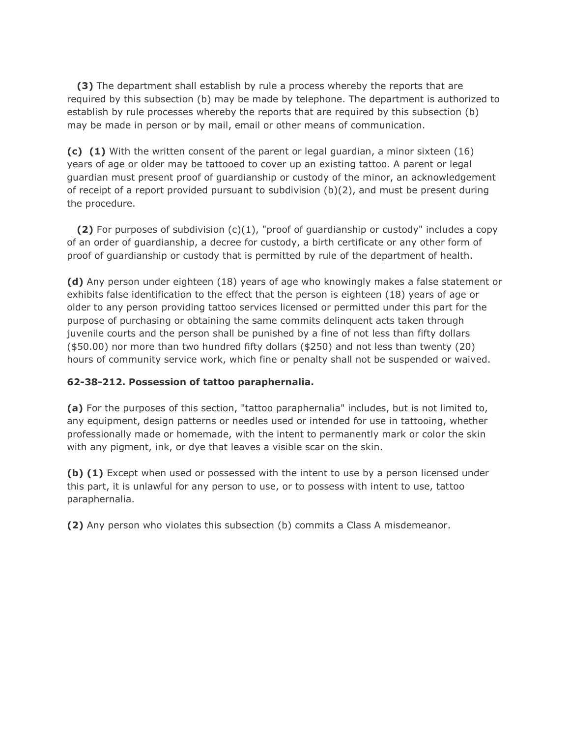**(3)** The department shall establish by rule a process whereby the reports that are required by this subsection (b) may be made by telephone. The department is authorized to establish by rule processes whereby the reports that are required by this subsection (b) may be made in person or by mail, email or other means of communication.

**(c) (1)** With the written consent of the parent or legal guardian, a minor sixteen (16) years of age or older may be tattooed to cover up an existing tattoo. A parent or legal guardian must present proof of guardianship or custody of the minor, an acknowledgement of receipt of a report provided pursuant to subdivision  $(b)(2)$ , and must be present during the procedure.

 **(2)** For purposes of subdivision (c)(1), "proof of guardianship or custody" includes a copy of an order of guardianship, a decree for custody, a birth certificate or any other form of proof of guardianship or custody that is permitted by rule of the department of health.

**(d)** Any person under eighteen (18) years of age who knowingly makes a false statement or exhibits false identification to the effect that the person is eighteen (18) years of age or older to any person providing tattoo services licensed or permitted under this part for the purpose of purchasing or obtaining the same commits delinquent acts taken through juvenile courts and the person shall be punished by a fine of not less than fifty dollars (\$50.00) nor more than two hundred fifty dollars (\$250) and not less than twenty (20) hours of community service work, which fine or penalty shall not be suspended or waived.

# **62-38-212. Possession of tattoo paraphernalia.**

**(a)** For the purposes of this section, "tattoo paraphernalia" includes, but is not limited to, any equipment, design patterns or needles used or intended for use in tattooing, whether professionally made or homemade, with the intent to permanently mark or color the skin with any pigment, ink, or dye that leaves a visible scar on the skin.

**(b) (1)** Except when used or possessed with the intent to use by a person licensed under this part, it is unlawful for any person to use, or to possess with intent to use, tattoo paraphernalia.

**(2)** Any person who violates this subsection (b) commits a Class A misdemeanor.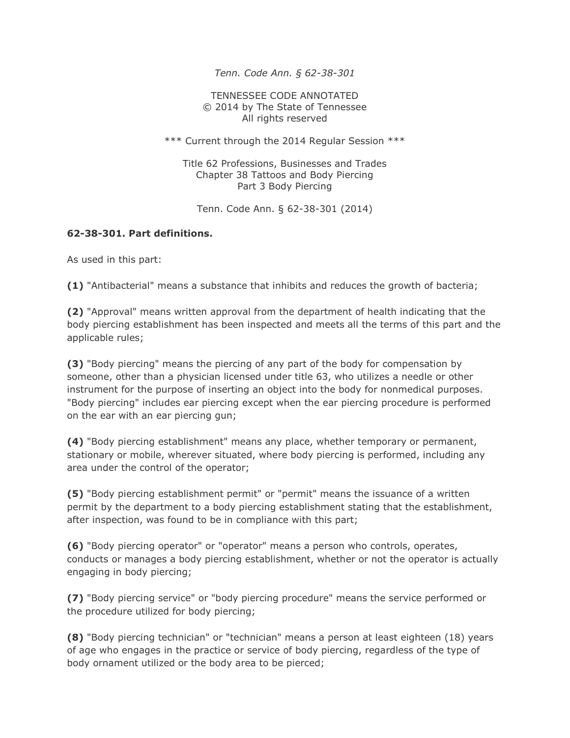*Tenn. Code Ann. § 62-38-301* 

TENNESSEE CODE ANNOTATED © 2014 by The State of Tennessee All rights reserved

\*\*\* Current through the 2014 Regular Session \*\*\*

Title 62 Professions, Businesses and Trades Chapter 38 Tattoos and Body Piercing Part 3 Body Piercing

Tenn. Code Ann. § 62-38-301 (2014)

#### **62-38-301. Part definitions.**

As used in this part:

**(1)** "Antibacterial" means a substance that inhibits and reduces the growth of bacteria;

**(2)** "Approval" means written approval from the department of health indicating that the body piercing establishment has been inspected and meets all the terms of this part and the applicable rules;

**(3)** "Body piercing" means the piercing of any part of the body for compensation by someone, other than a physician licensed under title 63, who utilizes a needle or other instrument for the purpose of inserting an object into the body for nonmedical purposes. "Body piercing" includes ear piercing except when the ear piercing procedure is performed on the ear with an ear piercing gun;

**(4)** "Body piercing establishment" means any place, whether temporary or permanent, stationary or mobile, wherever situated, where body piercing is performed, including any area under the control of the operator;

**(5)** "Body piercing establishment permit" or "permit" means the issuance of a written permit by the department to a body piercing establishment stating that the establishment, after inspection, was found to be in compliance with this part;

**(6)** "Body piercing operator" or "operator" means a person who controls, operates, conducts or manages a body piercing establishment, whether or not the operator is actually engaging in body piercing;

**(7)** "Body piercing service" or "body piercing procedure" means the service performed or the procedure utilized for body piercing;

**(8)** "Body piercing technician" or "technician" means a person at least eighteen (18) years of age who engages in the practice or service of body piercing, regardless of the type of body ornament utilized or the body area to be pierced;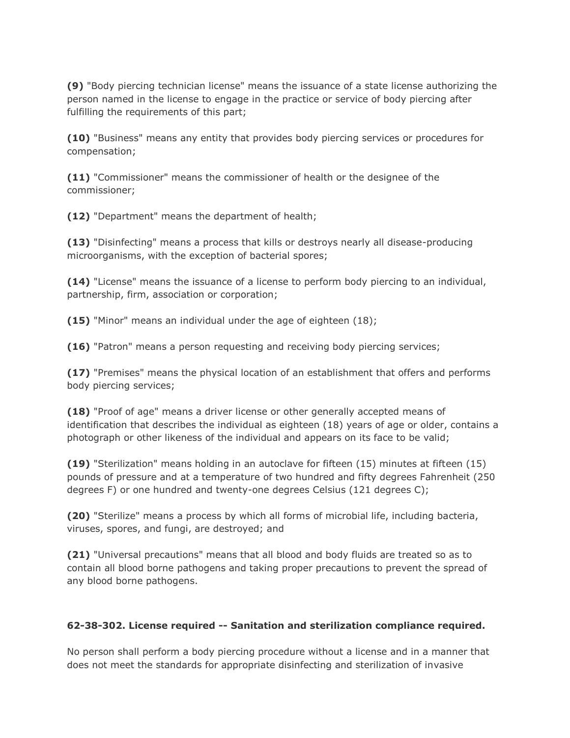**(9)** "Body piercing technician license" means the issuance of a state license authorizing the person named in the license to engage in the practice or service of body piercing after fulfilling the requirements of this part;

**(10)** "Business" means any entity that provides body piercing services or procedures for compensation;

**(11)** "Commissioner" means the commissioner of health or the designee of the commissioner;

**(12)** "Department" means the department of health;

**(13)** "Disinfecting" means a process that kills or destroys nearly all disease-producing microorganisms, with the exception of bacterial spores;

**(14)** "License" means the issuance of a license to perform body piercing to an individual, partnership, firm, association or corporation;

**(15)** "Minor" means an individual under the age of eighteen (18);

**(16)** "Patron" means a person requesting and receiving body piercing services;

**(17)** "Premises" means the physical location of an establishment that offers and performs body piercing services;

**(18)** "Proof of age" means a driver license or other generally accepted means of identification that describes the individual as eighteen (18) years of age or older, contains a photograph or other likeness of the individual and appears on its face to be valid;

**(19)** "Sterilization" means holding in an autoclave for fifteen (15) minutes at fifteen (15) pounds of pressure and at a temperature of two hundred and fifty degrees Fahrenheit (250 degrees F) or one hundred and twenty-one degrees Celsius (121 degrees C);

**(20)** "Sterilize" means a process by which all forms of microbial life, including bacteria, viruses, spores, and fungi, are destroyed; and

**(21)** "Universal precautions" means that all blood and body fluids are treated so as to contain all blood borne pathogens and taking proper precautions to prevent the spread of any blood borne pathogens.

#### **62-38-302. License required -- Sanitation and sterilization compliance required.**

No person shall perform a body piercing procedure without a license and in a manner that does not meet the standards for appropriate disinfecting and sterilization of invasive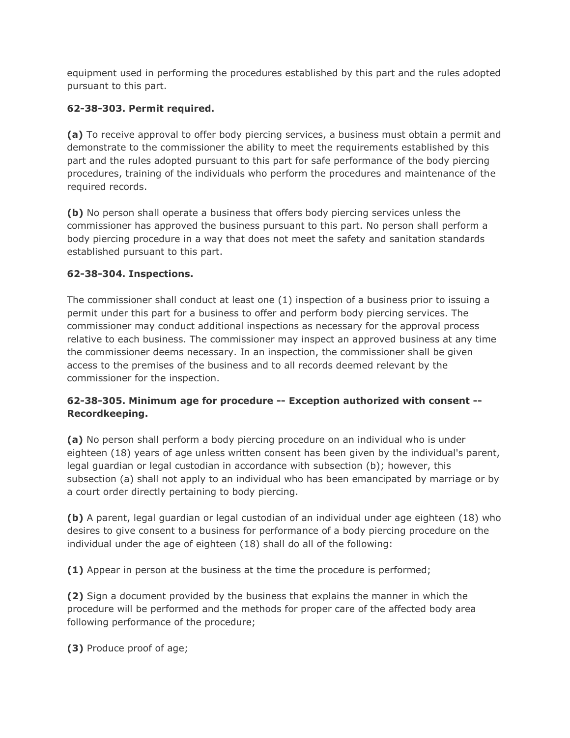equipment used in performing the procedures established by this part and the rules adopted pursuant to this part.

# **62-38-303. Permit required.**

**(a)** To receive approval to offer body piercing services, a business must obtain a permit and demonstrate to the commissioner the ability to meet the requirements established by this part and the rules adopted pursuant to this part for safe performance of the body piercing procedures, training of the individuals who perform the procedures and maintenance of the required records.

**(b)** No person shall operate a business that offers body piercing services unless the commissioner has approved the business pursuant to this part. No person shall perform a body piercing procedure in a way that does not meet the safety and sanitation standards established pursuant to this part.

# **62-38-304. Inspections.**

The commissioner shall conduct at least one (1) inspection of a business prior to issuing a permit under this part for a business to offer and perform body piercing services. The commissioner may conduct additional inspections as necessary for the approval process relative to each business. The commissioner may inspect an approved business at any time the commissioner deems necessary. In an inspection, the commissioner shall be given access to the premises of the business and to all records deemed relevant by the commissioner for the inspection.

# **62-38-305. Minimum age for procedure -- Exception authorized with consent -- Recordkeeping.**

**(a)** No person shall perform a body piercing procedure on an individual who is under eighteen (18) years of age unless written consent has been given by the individual's parent, legal guardian or legal custodian in accordance with subsection (b); however, this subsection (a) shall not apply to an individual who has been emancipated by marriage or by a court order directly pertaining to body piercing.

**(b)** A parent, legal guardian or legal custodian of an individual under age eighteen (18) who desires to give consent to a business for performance of a body piercing procedure on the individual under the age of eighteen (18) shall do all of the following:

**(1)** Appear in person at the business at the time the procedure is performed;

**(2)** Sign a document provided by the business that explains the manner in which the procedure will be performed and the methods for proper care of the affected body area following performance of the procedure;

**(3)** Produce proof of age;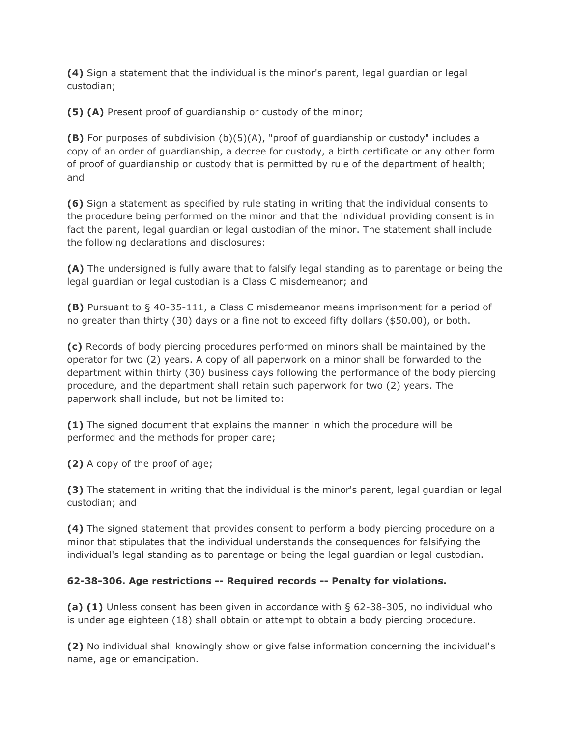**(4)** Sign a statement that the individual is the minor's parent, legal guardian or legal custodian;

**(5) (A)** Present proof of guardianship or custody of the minor;

**(B)** For purposes of subdivision (b)(5)(A), "proof of guardianship or custody" includes a copy of an order of guardianship, a decree for custody, a birth certificate or any other form of proof of guardianship or custody that is permitted by rule of the department of health; and

**(6)** Sign a statement as specified by rule stating in writing that the individual consents to the procedure being performed on the minor and that the individual providing consent is in fact the parent, legal guardian or legal custodian of the minor. The statement shall include the following declarations and disclosures:

**(A)** The undersigned is fully aware that to falsify legal standing as to parentage or being the legal guardian or legal custodian is a Class C misdemeanor; and

**(B)** Pursuant to § 40-35-111, a Class C misdemeanor means imprisonment for a period of no greater than thirty (30) days or a fine not to exceed fifty dollars (\$50.00), or both.

**(c)** Records of body piercing procedures performed on minors shall be maintained by the operator for two (2) years. A copy of all paperwork on a minor shall be forwarded to the department within thirty (30) business days following the performance of the body piercing procedure, and the department shall retain such paperwork for two (2) years. The paperwork shall include, but not be limited to:

**(1)** The signed document that explains the manner in which the procedure will be performed and the methods for proper care;

**(2)** A copy of the proof of age;

**(3)** The statement in writing that the individual is the minor's parent, legal guardian or legal custodian; and

**(4)** The signed statement that provides consent to perform a body piercing procedure on a minor that stipulates that the individual understands the consequences for falsifying the individual's legal standing as to parentage or being the legal guardian or legal custodian.

# **62-38-306. Age restrictions -- Required records -- Penalty for violations.**

**(a) (1)** Unless consent has been given in accordance with § 62-38-305, no individual who is under age eighteen (18) shall obtain or attempt to obtain a body piercing procedure.

**(2)** No individual shall knowingly show or give false information concerning the individual's name, age or emancipation.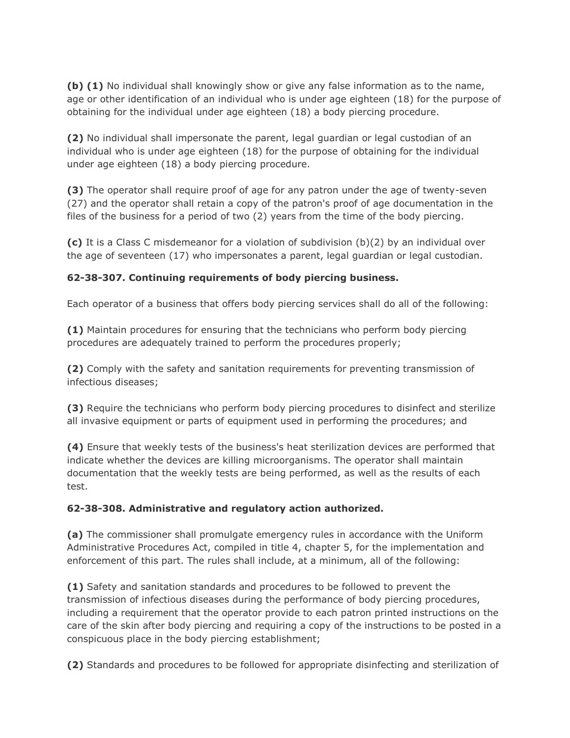**(b) (1)** No individual shall knowingly show or give any false information as to the name, age or other identification of an individual who is under age eighteen (18) for the purpose of obtaining for the individual under age eighteen (18) a body piercing procedure.

**(2)** No individual shall impersonate the parent, legal guardian or legal custodian of an individual who is under age eighteen (18) for the purpose of obtaining for the individual under age eighteen (18) a body piercing procedure.

**(3)** The operator shall require proof of age for any patron under the age of twenty-seven (27) and the operator shall retain a copy of the patron's proof of age documentation in the files of the business for a period of two (2) years from the time of the body piercing.

**(c)** It is a Class C misdemeanor for a violation of subdivision (b)(2) by an individual over the age of seventeen (17) who impersonates a parent, legal guardian or legal custodian.

### **62-38-307. Continuing requirements of body piercing business.**

Each operator of a business that offers body piercing services shall do all of the following:

**(1)** Maintain procedures for ensuring that the technicians who perform body piercing procedures are adequately trained to perform the procedures properly;

**(2)** Comply with the safety and sanitation requirements for preventing transmission of infectious diseases;

**(3)** Require the technicians who perform body piercing procedures to disinfect and sterilize all invasive equipment or parts of equipment used in performing the procedures; and

**(4)** Ensure that weekly tests of the business's heat sterilization devices are performed that indicate whether the devices are killing microorganisms. The operator shall maintain documentation that the weekly tests are being performed, as well as the results of each test.

#### **62-38-308. Administrative and regulatory action authorized.**

**(a)** The commissioner shall promulgate emergency rules in accordance with the Uniform Administrative Procedures Act, compiled in title 4, chapter 5, for the implementation and enforcement of this part. The rules shall include, at a minimum, all of the following:

**(1)** Safety and sanitation standards and procedures to be followed to prevent the transmission of infectious diseases during the performance of body piercing procedures, including a requirement that the operator provide to each patron printed instructions on the care of the skin after body piercing and requiring a copy of the instructions to be posted in a conspicuous place in the body piercing establishment;

**(2)** Standards and procedures to be followed for appropriate disinfecting and sterilization of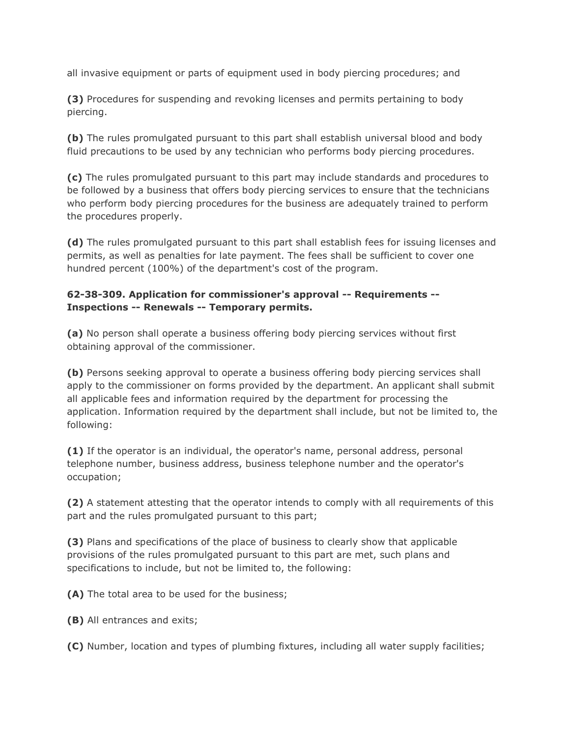all invasive equipment or parts of equipment used in body piercing procedures; and

**(3)** Procedures for suspending and revoking licenses and permits pertaining to body piercing.

**(b)** The rules promulgated pursuant to this part shall establish universal blood and body fluid precautions to be used by any technician who performs body piercing procedures.

**(c)** The rules promulgated pursuant to this part may include standards and procedures to be followed by a business that offers body piercing services to ensure that the technicians who perform body piercing procedures for the business are adequately trained to perform the procedures properly.

**(d)** The rules promulgated pursuant to this part shall establish fees for issuing licenses and permits, as well as penalties for late payment. The fees shall be sufficient to cover one hundred percent (100%) of the department's cost of the program.

#### **62-38-309. Application for commissioner's approval -- Requirements -- Inspections -- Renewals -- Temporary permits.**

**(a)** No person shall operate a business offering body piercing services without first obtaining approval of the commissioner.

**(b)** Persons seeking approval to operate a business offering body piercing services shall apply to the commissioner on forms provided by the department. An applicant shall submit all applicable fees and information required by the department for processing the application. Information required by the department shall include, but not be limited to, the following:

**(1)** If the operator is an individual, the operator's name, personal address, personal telephone number, business address, business telephone number and the operator's occupation;

**(2)** A statement attesting that the operator intends to comply with all requirements of this part and the rules promulgated pursuant to this part;

**(3)** Plans and specifications of the place of business to clearly show that applicable provisions of the rules promulgated pursuant to this part are met, such plans and specifications to include, but not be limited to, the following:

**(A)** The total area to be used for the business;

**(B)** All entrances and exits;

**(C)** Number, location and types of plumbing fixtures, including all water supply facilities;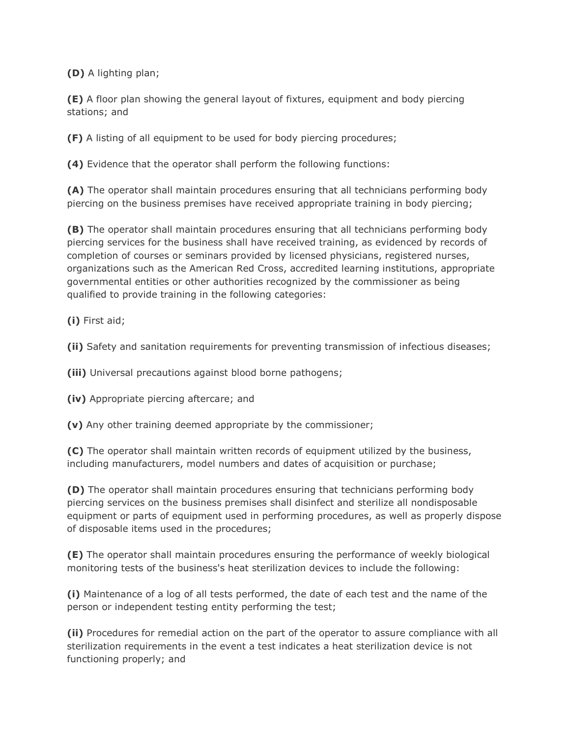**(D)** A lighting plan;

**(E)** A floor plan showing the general layout of fixtures, equipment and body piercing stations; and

**(F)** A listing of all equipment to be used for body piercing procedures;

**(4)** Evidence that the operator shall perform the following functions:

**(A)** The operator shall maintain procedures ensuring that all technicians performing body piercing on the business premises have received appropriate training in body piercing;

**(B)** The operator shall maintain procedures ensuring that all technicians performing body piercing services for the business shall have received training, as evidenced by records of completion of courses or seminars provided by licensed physicians, registered nurses, organizations such as the American Red Cross, accredited learning institutions, appropriate governmental entities or other authorities recognized by the commissioner as being qualified to provide training in the following categories:

**(i)** First aid;

**(ii)** Safety and sanitation requirements for preventing transmission of infectious diseases;

**(iii)** Universal precautions against blood borne pathogens;

**(iv)** Appropriate piercing aftercare; and

**(v)** Any other training deemed appropriate by the commissioner;

**(C)** The operator shall maintain written records of equipment utilized by the business, including manufacturers, model numbers and dates of acquisition or purchase;

**(D)** The operator shall maintain procedures ensuring that technicians performing body piercing services on the business premises shall disinfect and sterilize all nondisposable equipment or parts of equipment used in performing procedures, as well as properly dispose of disposable items used in the procedures;

**(E)** The operator shall maintain procedures ensuring the performance of weekly biological monitoring tests of the business's heat sterilization devices to include the following:

**(i)** Maintenance of a log of all tests performed, the date of each test and the name of the person or independent testing entity performing the test;

**(ii)** Procedures for remedial action on the part of the operator to assure compliance with all sterilization requirements in the event a test indicates a heat sterilization device is not functioning properly; and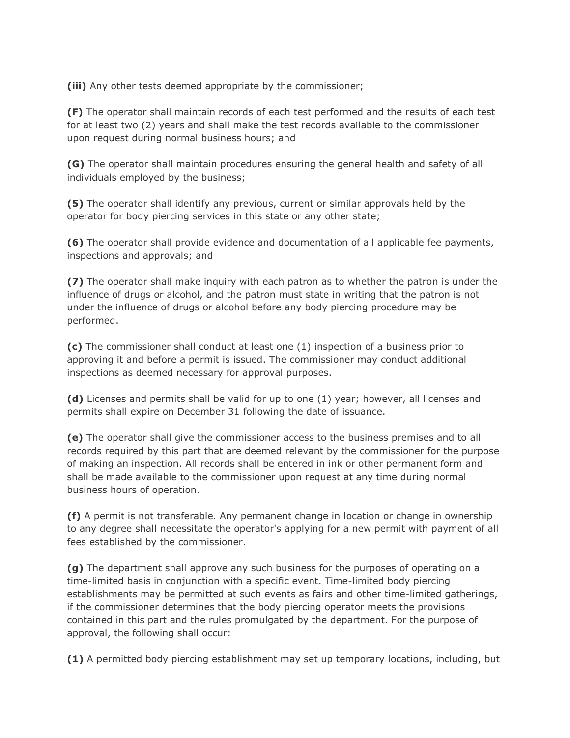**(iii)** Any other tests deemed appropriate by the commissioner;

**(F)** The operator shall maintain records of each test performed and the results of each test for at least two (2) years and shall make the test records available to the commissioner upon request during normal business hours; and

**(G)** The operator shall maintain procedures ensuring the general health and safety of all individuals employed by the business;

**(5)** The operator shall identify any previous, current or similar approvals held by the operator for body piercing services in this state or any other state;

**(6)** The operator shall provide evidence and documentation of all applicable fee payments, inspections and approvals; and

**(7)** The operator shall make inquiry with each patron as to whether the patron is under the influence of drugs or alcohol, and the patron must state in writing that the patron is not under the influence of drugs or alcohol before any body piercing procedure may be performed.

**(c)** The commissioner shall conduct at least one (1) inspection of a business prior to approving it and before a permit is issued. The commissioner may conduct additional inspections as deemed necessary for approval purposes.

**(d)** Licenses and permits shall be valid for up to one (1) year; however, all licenses and permits shall expire on December 31 following the date of issuance.

**(e)** The operator shall give the commissioner access to the business premises and to all records required by this part that are deemed relevant by the commissioner for the purpose of making an inspection. All records shall be entered in ink or other permanent form and shall be made available to the commissioner upon request at any time during normal business hours of operation.

**(f)** A permit is not transferable. Any permanent change in location or change in ownership to any degree shall necessitate the operator's applying for a new permit with payment of all fees established by the commissioner.

**(g)** The department shall approve any such business for the purposes of operating on a time-limited basis in conjunction with a specific event. Time-limited body piercing establishments may be permitted at such events as fairs and other time-limited gatherings, if the commissioner determines that the body piercing operator meets the provisions contained in this part and the rules promulgated by the department. For the purpose of approval, the following shall occur:

**(1)** A permitted body piercing establishment may set up temporary locations, including, but